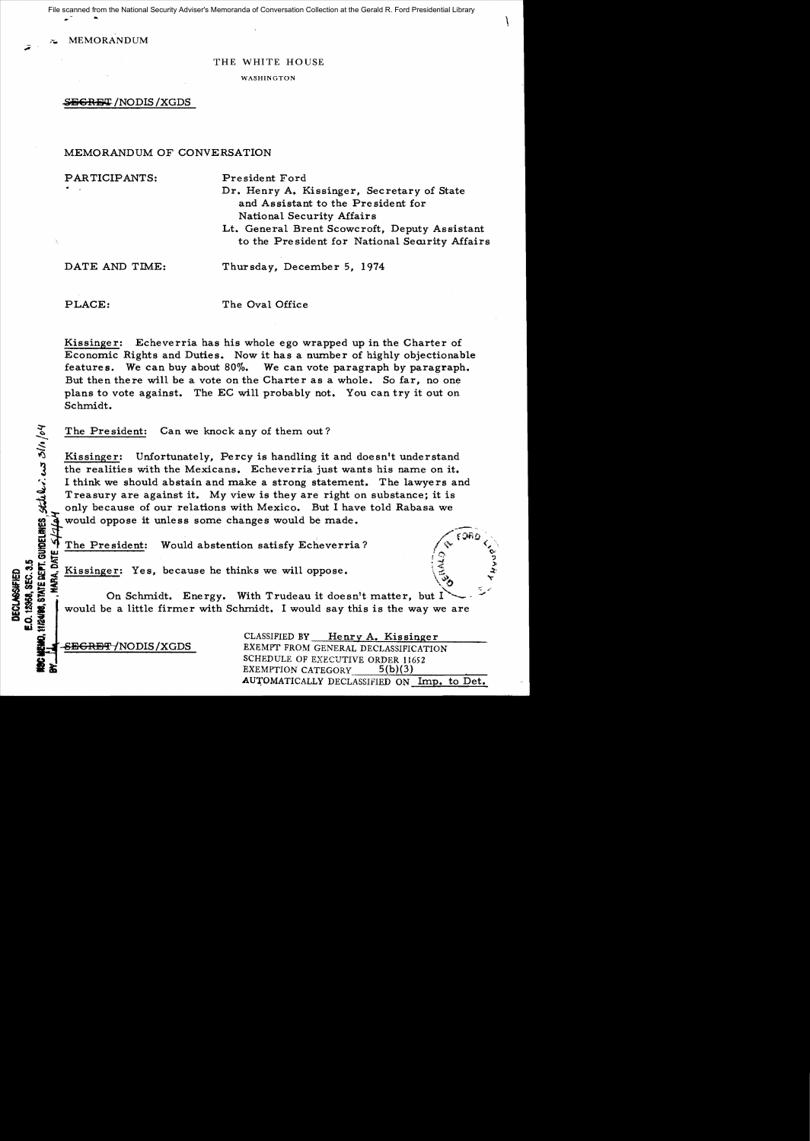.  $\blacksquare$ File scanned from the National Security Adviser's Memoranda of Conversation Collection at the Gerald R. Ford Presidential Library

MEMORANDUM

### THE WHITE HOUSE

WASHINGTON

 $~$ *S<del>ECRET</del>* /NODIS /XGDS

# MEMORANDUM OF CONVERSATION

PARTICIPANTS: President Ford Dr. Henry A. Kissinger, Secretary of State and Assistant to the President for National Security Affairs Lt. General Brent Scowcroft, Deputy Assistant to the President for National Security Affairs

DATE AND TIME: Thursday, December 5, 1974

 $\leq$ 

**UECLASSIFIED** 

**E.O. 12968, SEC. 3.5** 

 $\mathbf{u} \equiv$ 

PLACE: The Oval Office

Kissinger: Echeverria has his whole ego wrapped up in the Charter of Economic Rights and Duties. Now it has a number of highly objectionable features. We can buy about 80%. We can vote paragraph by paragraph. But then there will be a vote on the Charter as a whole. So far, no one plans to vote against. The EC will probably not. You can try it out on Schmidt.

The President: Can we knock any of them out?

Kissinger: Unfortunately, Percy is handling it and doesn't understand the realities with the Mexicans. Echeverria just wants his name on it. I think we should abstain and make a strong statement. The lawyers and Treasury are against it. My view is they are right on substance; it is only because of our relations with Mexico. But I have told Rabasa we if would oppose it unless some changes would be made.<br>  $\frac{1}{2}$  ,  $\frac{1}{2}$  ,  $\frac{1}{2}$  ,  $\frac{1}{2}$  ,  $\frac{1}{2}$  ,  $\frac{1}{2}$  ,  $\frac{1}{2}$  ,  $\frac{1}{2}$  ,  $\frac{1}{2}$  ,  $\frac{1}{2}$  ,  $\frac{1}{2}$  ,  $\frac{1}{2}$  ,  $\frac{1}{2}$  ,  $\frac{1}{2}$  ,

 $\frac{1}{2}$   $\frac{1}{2}$   $\frac{1}{2}$   $\frac{1}{2}$   $\frac{1}{2}$   $\frac{1}{2}$   $\frac{1}{2}$   $\frac{1}{2}$   $\frac{1}{2}$   $\frac{1}{2}$   $\frac{1}{2}$   $\frac{1}{2}$   $\frac{1}{2}$   $\frac{1}{2}$   $\frac{1}{2}$   $\frac{1}{2}$   $\frac{1}{2}$   $\frac{1}{2}$   $\frac{1}{2}$   $\frac{1}{2}$   $\frac{1}{2}$   $\frac{1}{2}$  ! The President: Would abstention satisfy Echeverria?<br>  $\frac{1}{5}$  Kissinger: Yes, because he thinks we will oppose.

On Schmidt. Energy. With Trudeau it doesn't matter, but I would be a little firmer with Schmidt. I would say this is the way we are

CLASSIFIED BY Henry A. Kissinger SEGRET/NODIS/XGDS EXEMPT FROM GENERAL DECLASSIFICATION SCHEDULE OF EXECUTIVE ORDER 11652<br>EXEMPTION CATEGORY 5(b)(3) AUTOMATICALLY DECLASSIFIED ON Imp. to Det.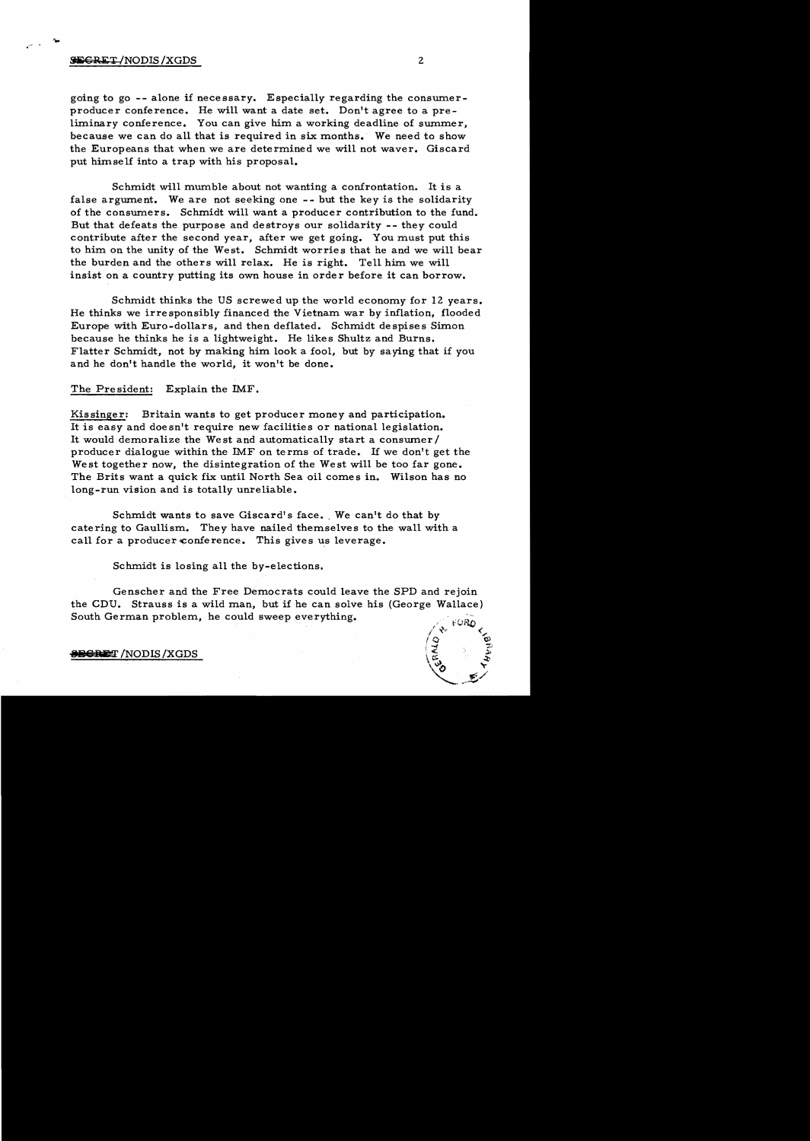## $\overline{\text{SEERET}}$  /NODIS /XGDS 2

.~

going to go -- alone if necessary. Especially regarding the consumerproducer conference. He will want a date set. Don't agree to a preliminary conference. You can give him a working deadline of summer, because we can do all that is required in six months. We need to show the Europeans that when we are determined we will not waver. Giscard put himself into a trap with his proposal.

Schmidt will mumble about not wanting a confrontation. It is a false argument. We are not seeking one - - but the key is the solidarity of the consumers. Schmidt will want a producer contribution to the fund. But that defeats the purpose and destroys our solidarity -- they could contribute after the second year, after we get going. You must put this to him on the unity of the West. Schmidt worries that he and we will bear the burden and the others will relax. He is right. Tell him we will insist on a country putting its own house in order before it can borrow.

Schmidt thinks the US screwed up the world economy for 12 years. He thinks we irresponsibly financed the Vietnam war by inflation, flooded Europe with Euro-dollars, and then deflated. Schmidt despises Simon because he thinks he is a lightweight. He likes Shultz and Burns. Flatter Schmidt, not by making him look a fool, but by saying that if you and he don't handle the world, it won't be done.

The President: Explain the IMF.

Kissinger: Britain wants to get producer money and participation. It is easy and doesn't require new facilities or national legislation. It would demoralize the We st and automatically start a consumer / producer dialogue within the IMF on terms of trade. 1£ we don't get the West together now, the disintegration of the West will be too far gone. The Brits want a quick fix until North Sea oil comes in. Wilson has no long-run vision and is totally unreliable.

Schmidt wants to save Giscard's face. We can't do that by catering to Gaullism. They have nailed themselves to the wall with a call for a producer conference. This gives us leverage.

Schmidt is losing all the by-elections.

Genscher and the Free Democrats could leave the SPD and rejoin the CDU. Strauss is a wild man, but if he can solve his (George Wallace) South German problem, he could sweep everything.



#### **BECRE**T /NODIS /XGDS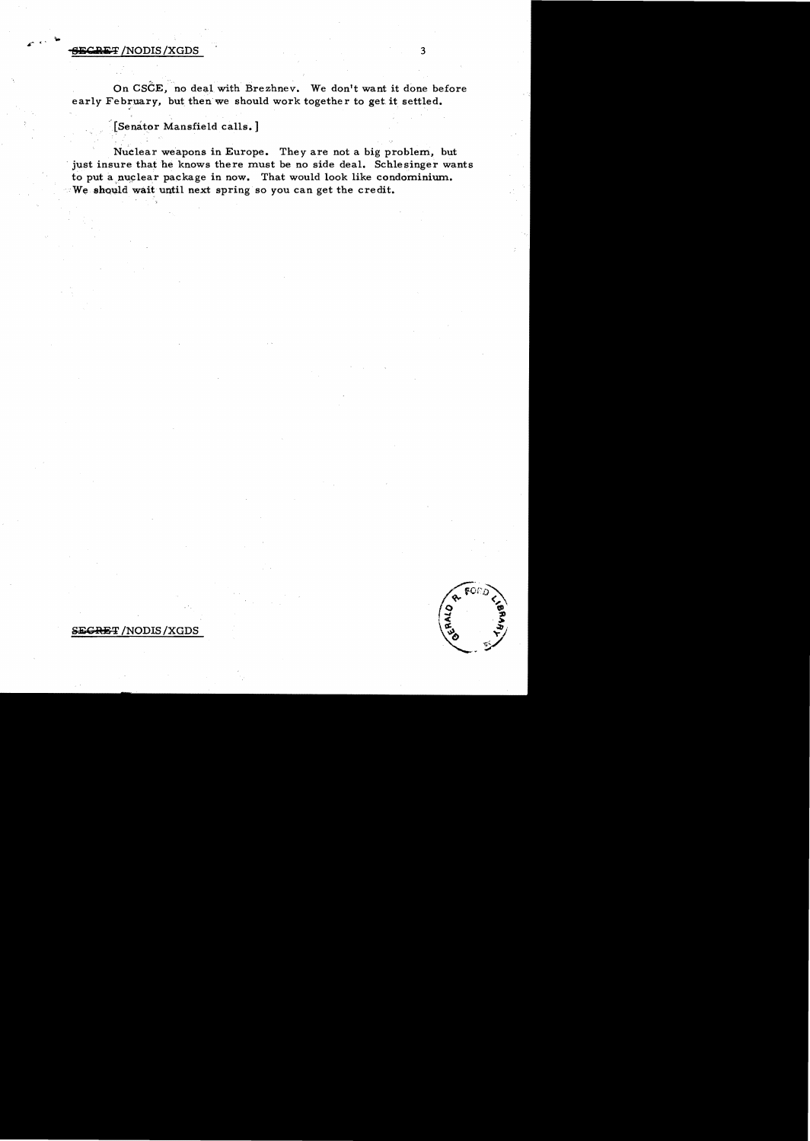# **-site air /NODIS /XGDS** 3

On CSCE, no deal with Brezhnev. We don't want it done before early February, but then we should work together to get it settled.

'[Senator Mansfield calls. ]

Nuclear weapons in Europe. They are not a big problem, but . just insure that he knows there must be no side deal. Schlesinger wants to put a nuclear package in now. That would look like condominium.  $W$ e should wait until next spring so you can get the credit.



# SEGRET /NODIS / XGDS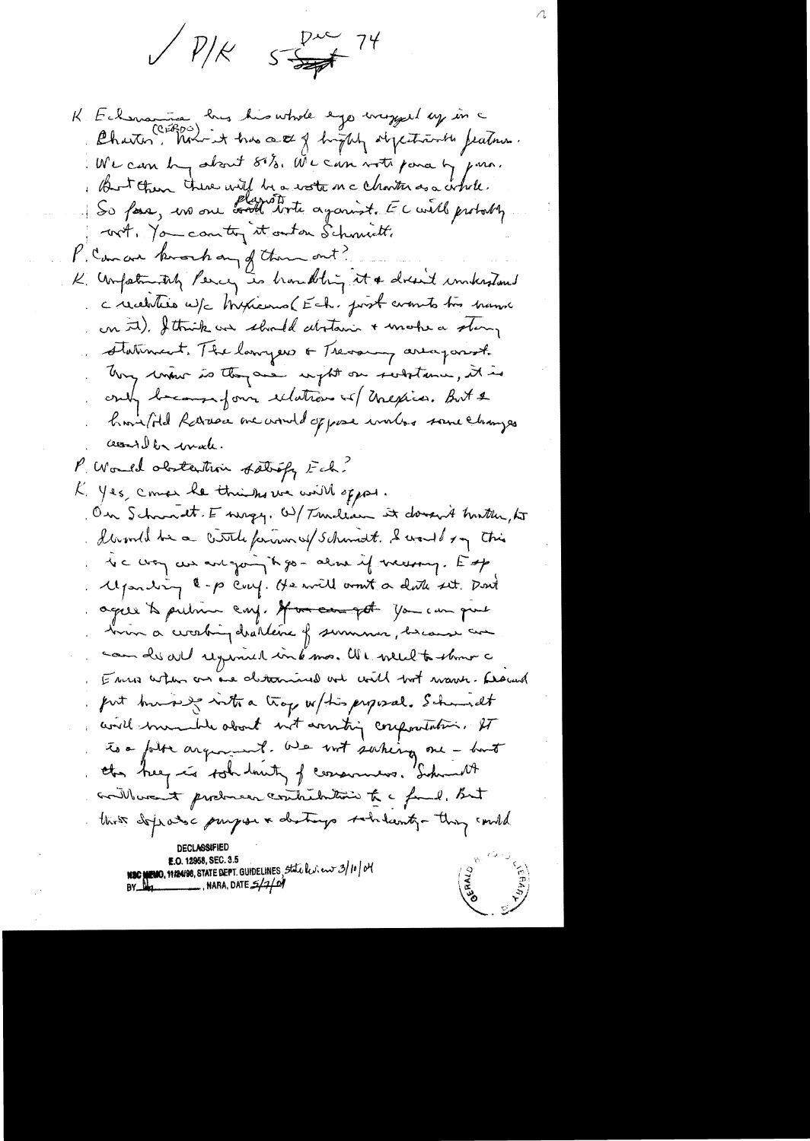$5\frac{p}{\sqrt{2}}$  74  $\bigvee p_{\cancel{|}\mathcal{K}}$ 

K Eclemanica hus his whole ego imaged ay in a We can by about 81/2. We can not pour by purs. But then there will be a water mc charter as a whole. So fore, un one continue against. El will probably wit, You can try it outon Schmicht. P. Concar knoch any of them out? K. Unfortunitely Percy is brankling it a dreamed unkerstand creaturies w/c Myricans (Ech. post counts too hamme on it). I think we should abstain + make a slamp statiment. The larryers of Trevaring area parish they worker is they are upt on secretaries, it is crity because form extations of Unexious. But & have filed Rarasa me would of pose workers some changes cessed be wate. P. Would obstantion statisty Ech. K. Yes, comer he thinks we will oppos. On Schwadt. E wrzy. W/Twillam it dovernt hurth, to devould be a cittle farmer of schandt. I would say this To c way are and going it go - alme if mersong. Esp Myanding \$-p coup. He will won't a doth set. Don't ages to putin cay. If an ear get you can gut bin a ciceling diallene of summer, because an cam de all regimed interna. We welch to themo a E was when an one determined and with book wave. Research put burning with a trop w/his proposal. Schundt will member about not aventing compositation. It to a folk argument. We not surhing one - but the hey is tot louty of consumers. Sideworth avillement producer contribution to a family But this deproduct purpose & destroys sobilization thing could NSC NEWS, NEWS 8, STATE DEPT. GUIDELINES, State by: en 3/10/04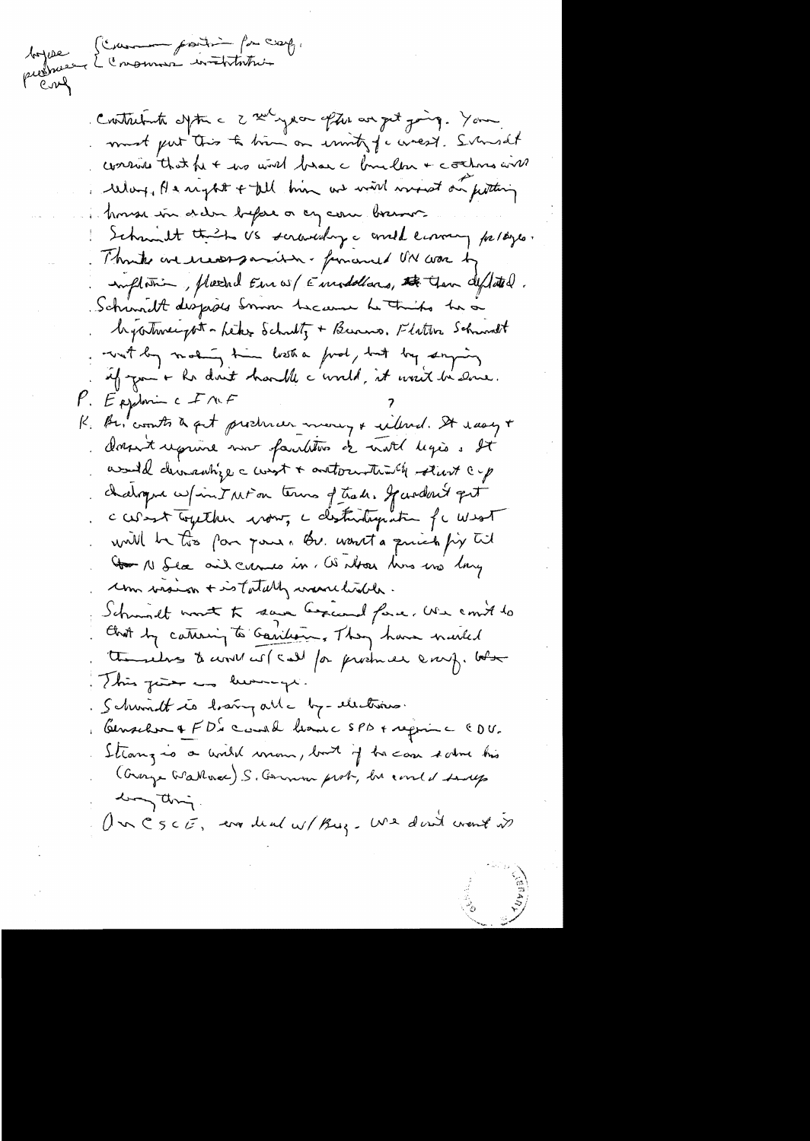toppee L'enommer institution

Cristalente defter a 2 nd year often an get joing. Your must put this to him on unity for west. Sunsat consume that he + no wish below a bundler + contra wish When I a reglet + till him as will worse on fitting house in dela before or any care borno Schmult this US scraveday a corela commy partyre. Think we erecorporation- financed ON was by implation, placind Euros/Eurodollars, the Gern deficited. Schumett dispises Sommer Lecause Le Trinho her on beyontweepot - Leter Schultz + Burns, Flatter Schwalt with by making time losted find, but by saying if you'r he don't harble c'everth, it won't be done.  $P.$  Exploring  $2 \times 10^{6}$ K. Be, counts a get producer money & willed. It wasy + dorport reprine now fairlyton of not legios . It would demantize a west + autocentum the start cup chalogue w/intaction terms of trade. Jardon't get caract Together voir, a distribuyation for West will be this far your. Bu want a quick fix til Go N Sea and cursos in. We about his was long com vision + is tatally wavelisted. Schmidt wort to save because force. We could to that by caturing to Garillan, They have nurted the relaxs to cont cor ( call for producer every. but This juice and lumings. Schwindt is having all - by-electrics. Censelon & FD' cand have SPD + require CDU. Strong is a world voron, but if he can some his (Overge Wallace) S. German prob, be conted says long thing. Un CSCE, and deal w/ Buz. We don't went it